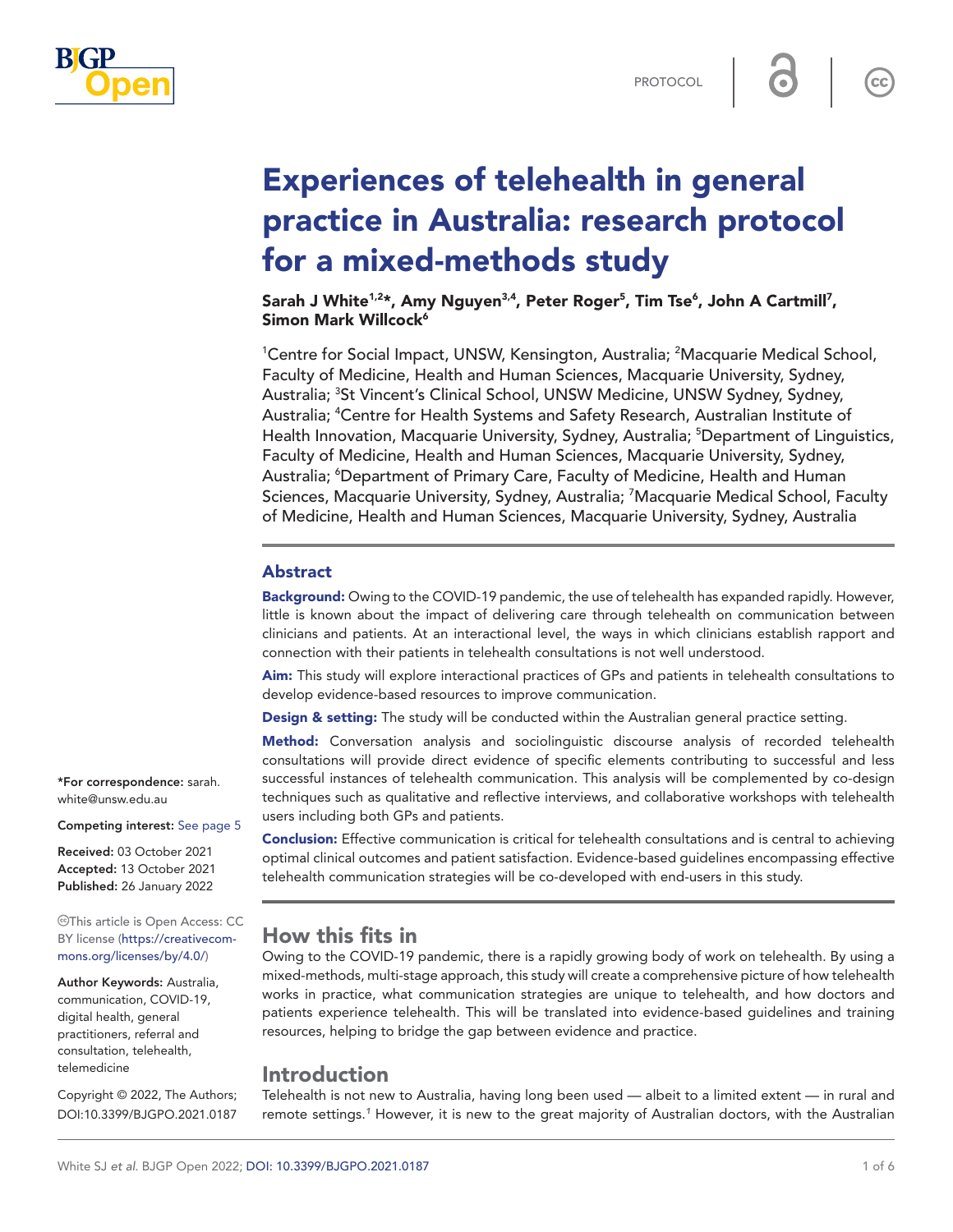

 $\mathsf{cc}$ 

# Experiences of telehealth in general practice in Australia: research protocol for a mixed-methods study

Sarah J White<sup>1,2</sup>\*, Amy Nguyen<sup>3,4</sup>, Peter Roger<sup>5</sup>, Tim Tse<sup>6</sup>, John A Cartmill<sup>7</sup>, Simon Mark Willcock<sup>6</sup>

<sup>1</sup>Centre for Social Impact, UNSW, Kensington, Australia; <sup>2</sup>Macquarie Medical School, Faculty of Medicine, Health and Human Sciences, Macquarie University, Sydney, Australia; <sup>3</sup>St Vincent's Clinical School, UNSW Medicine, UNSW Sydney, Sydney, Australia; <sup>4</sup>Centre for Health Systems and Safety Research, Australian Institute of Health Innovation, Macquarie University, Sydney, Australia; <sup>5</sup>Department of Linguistics, Faculty of Medicine, Health and Human Sciences, Macquarie University, Sydney, Australia; <sup>6</sup>Department of Primary Care, Faculty of Medicine, Health and Human Sciences, Macquarie University, Sydney, Australia; <sup>7</sup>Macquarie Medical School, Faculty of Medicine, Health and Human Sciences, Macquarie University, Sydney, Australia

#### Abstract

Background: Owing to the COVID-19 pandemic, the use of telehealth has expanded rapidly. However, little is known about the impact of delivering care through telehealth on communication between clinicians and patients. At an interactional level, the ways in which clinicians establish rapport and connection with their patients in telehealth consultations is not well understood.

Aim: This study will explore interactional practices of GPs and patients in telehealth consultations to develop evidence-based resources to improve communication.

Design & setting: The study will be conducted within the Australian general practice setting.

Method: Conversation analysis and sociolinguistic discourse analysis of recorded telehealth consultations will provide direct evidence of specific elements contributing to successful and less successful instances of telehealth communication. This analysis will be complemented by co-design techniques such as qualitative and reflective interviews, and collaborative workshops with telehealth users including both GPs and patients.

Conclusion: Effective communication is critical for telehealth consultations and is central to achieving optimal clinical outcomes and patient satisfaction. Evidence-based guidelines encompassing effective telehealth communication strategies will be co-developed with end-users in this study.

## How this fits in

Owing to the COVID-19 pandemic, there is a rapidly growing body of work on telehealth. By using a mixed-methods, multi-stage approach, this study will create a comprehensive picture of how telehealth works in practice, what communication strategies are unique to telehealth, and how doctors and patients experience telehealth. This will be translated into evidence-based guidelines and training resources, helping to bridge the gap between evidence and practice.

## Introduction

Telehealth is not new to Australia, having long been used — albeit to a limited extent — in rural and remote settings.*[1](#page-4-1)* However, it is new to the great majority of Australian doctors, with the Australian

\*For correspondence: [sarah.](mailto:sarah.white@unsw.edu.au) [white@unsw.edu.au](mailto:sarah.white@unsw.edu.au)

Competing interest: [See page 5](#page-4-0)

Received: 03 October 2021 Accepted: 13 October 2021 Published: 26 January 2022

This article is Open Access: CC BY license [\(https://creativecom](https://creativecommons.org/licenses/by/4.0/)[mons.org/licenses/by/4.0/\)](https://creativecommons.org/licenses/by/4.0/)

Author Keywords: Australia, communication, COVID-19, digital health, general practitioners, referral and consultation, telehealth, telemedicine

Copyright © 2022, The Authors; DOI:10.3399/BJGPO.2021.0187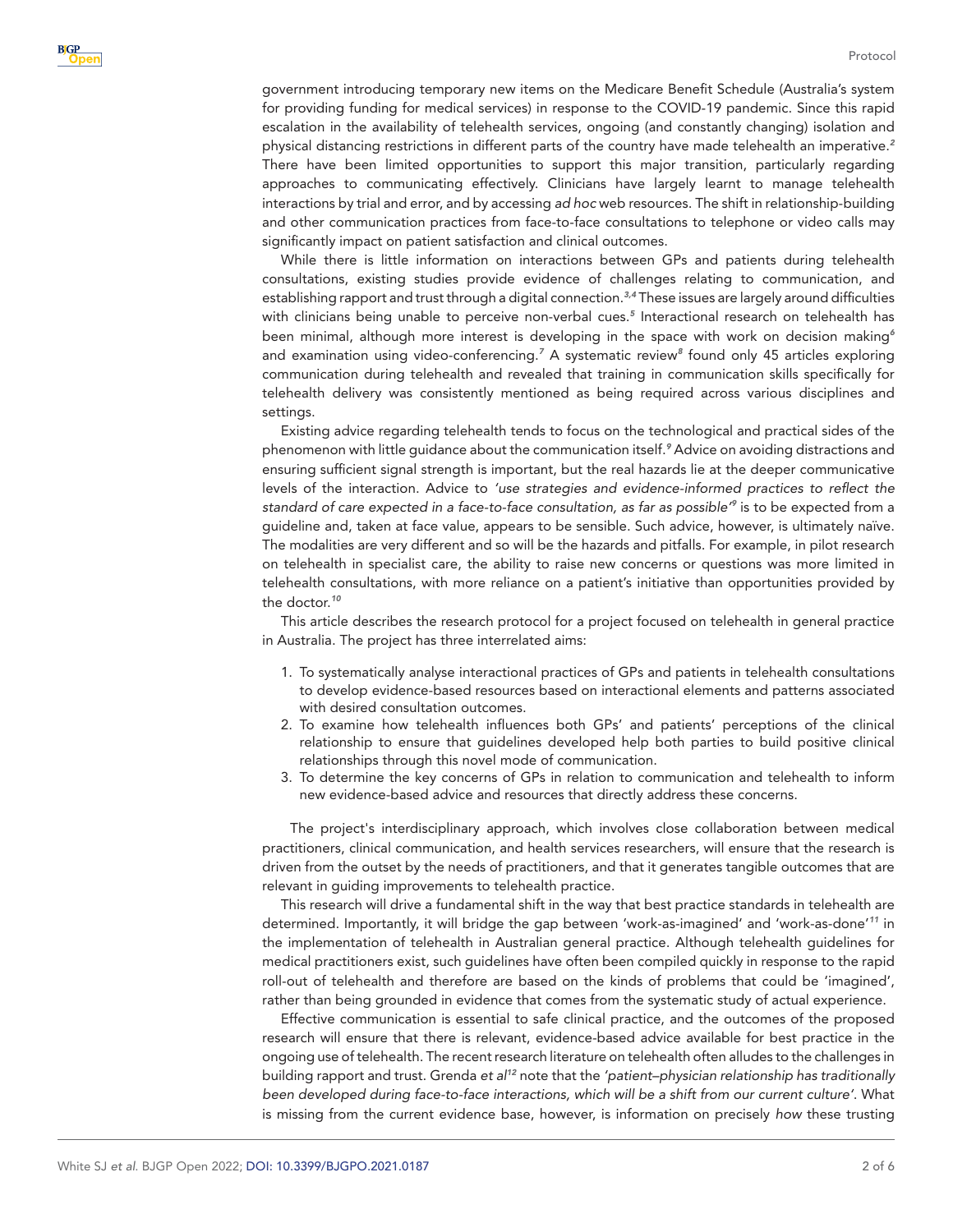government introducing temporary new items on the Medicare Benefit Schedule (Australia's system for providing funding for medical services) in response to the COVID-19 pandemic. Since this rapid escalation in the availability of telehealth services, ongoing (and constantly changing) isolation and physical distancing restrictions in different parts of the country have made telehealth an imperative.*[2](#page-4-2)* There have been limited opportunities to support this major transition, particularly regarding approaches to communicating effectively. Clinicians have largely learnt to manage telehealth interactions by trial and error, and by accessing *ad hoc* web resources. The shift in relationship-building and other communication practices from face-to-face consultations to telephone or video calls may significantly impact on patient satisfaction and clinical outcomes.

While there is little information on interactions between GPs and patients during telehealth consultations, existing studies provide evidence of challenges relating to communication, and establishing rapport and trust through a digital connection.*[3,4](#page-4-3)* These issues are largely around difficulties with clinicians being unable to perceive non-verbal cues.*[5](#page-4-4)* Interactional research on telehealth has been minimal, although more interest is developing in the space with work on decision making*[6](#page-4-5)* and examination using video-conferencing.<sup>[7](#page-4-6)</sup> A systematic review<sup>[8](#page-4-7)</sup> found only 45 articles exploring communication during telehealth and revealed that training in communication skills specifically for telehealth delivery was consistently mentioned as being required across various disciplines and settings.

Existing advice regarding telehealth tends to focus on the technological and practical sides of the phenomenon with little guidance about the communication itself.*[9](#page-4-8)* Advice on avoiding distractions and ensuring sufficient signal strength is important, but the real hazards lie at the deeper communicative levels of the interaction. Advice to *'use strategies and evidence-informed practices to reflect the standard of care expected in a face-to-face consultation, as far as possible'[9](#page-4-8)* is to be expected from a guideline and, taken at face value, appears to be sensible. Such advice, however, is ultimately naïve. The modalities are very different and so will be the hazards and pitfalls. For example, in pilot research on telehealth in specialist care, the ability to raise new concerns or questions was more limited in telehealth consultations, with more reliance on a patient's initiative than opportunities provided by the doctor.*[10](#page-4-9)*

This article describes the research protocol for a project focused on telehealth in general practice in Australia. The project has three interrelated aims:

- 1. To systematically analyse interactional practices of GPs and patients in telehealth consultations to develop evidence-based resources based on interactional elements and patterns associated with desired consultation outcomes.
- 2. To examine how telehealth influences both GPs' and patients' perceptions of the clinical relationship to ensure that guidelines developed help both parties to build positive clinical relationships through this novel mode of communication.
- 3. To determine the key concerns of GPs in relation to communication and telehealth to inform new evidence-based advice and resources that directly address these concerns.

The project's interdisciplinary approach, which involves close collaboration between medical practitioners, clinical communication, and health services researchers, will ensure that the research is driven from the outset by the needs of practitioners, and that it generates tangible outcomes that are relevant in guiding improvements to telehealth practice.

This research will drive a fundamental shift in the way that best practice standards in telehealth are determined. Importantly, it will bridge the gap between 'work-as-imagined' and 'work-as-done'*[11](#page-4-10)* in the implementation of telehealth in Australian general practice. Although telehealth guidelines for medical practitioners exist, such guidelines have often been compiled quickly in response to the rapid roll-out of telehealth and therefore are based on the kinds of problems that could be 'imagined', rather than being grounded in evidence that comes from the systematic study of actual experience.

Effective communication is essential to safe clinical practice, and the outcomes of the proposed research will ensure that there is relevant, evidence-based advice available for best practice in the ongoing use of telehealth. The recent research literature on telehealth often alludes to the challenges in building rapport and trust. Grenda *et al[12](#page-4-11)* note that the *'patient–physician relationship has traditionally been developed during face-to-face interactions, which will be a shift from our current culture'*. What is missing from the current evidence base, however, is information on precisely *how* these trusting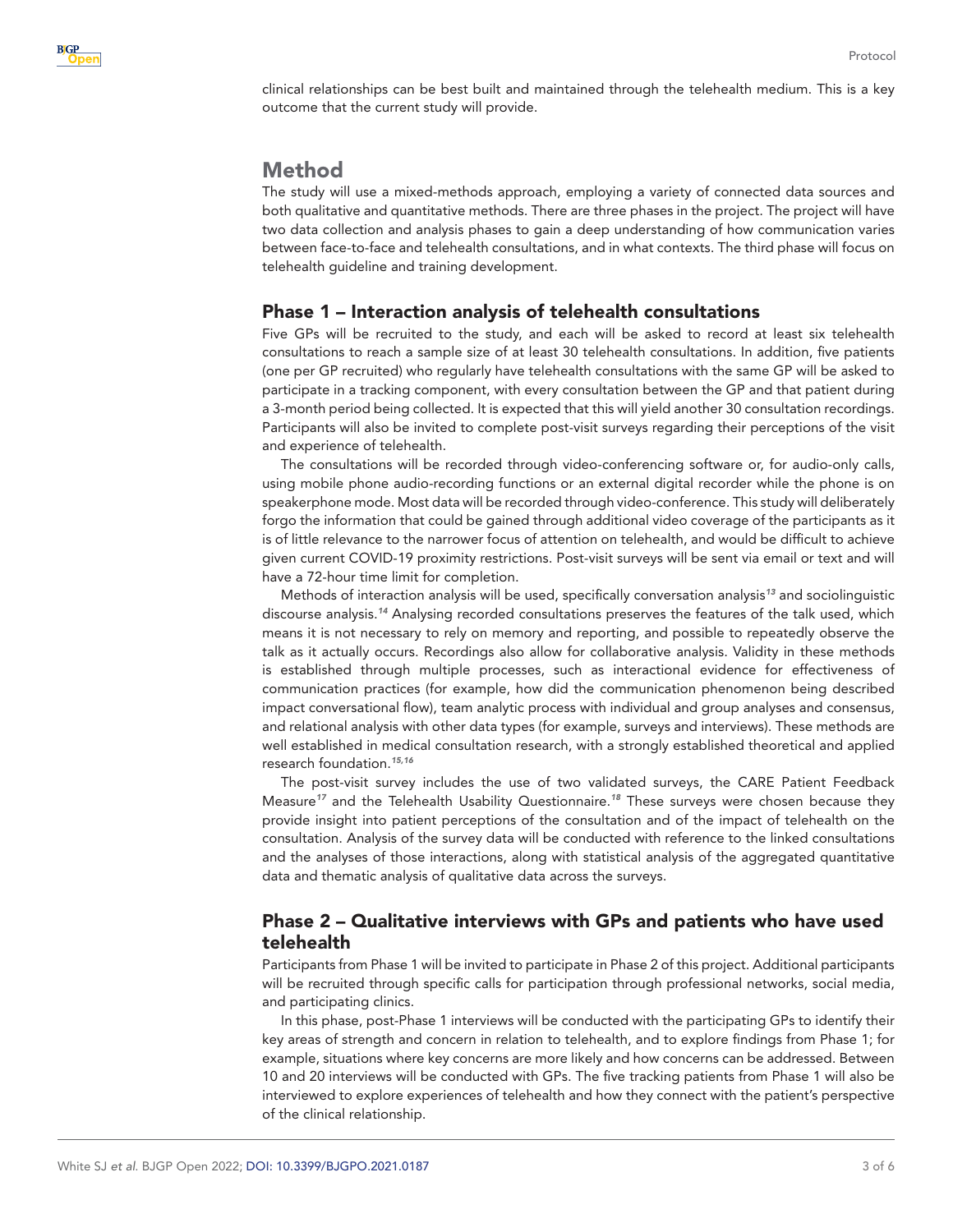

clinical relationships can be best built and maintained through the telehealth medium. This is a key outcome that the current study will provide.

## Method

The study will use a mixed-methods approach, employing a variety of connected data sources and both qualitative and quantitative methods. There are three phases in the project. The project will have two data collection and analysis phases to gain a deep understanding of how communication varies between face-to-face and telehealth consultations, and in what contexts. The third phase will focus on telehealth guideline and training development.

#### Phase 1 – Interaction analysis of telehealth consultations

Five GPs will be recruited to the study, and each will be asked to record at least six telehealth consultations to reach a sample size of at least 30 telehealth consultations. In addition, five patients (one per GP recruited) who regularly have telehealth consultations with the same GP will be asked to participate in a tracking component, with every consultation between the GP and that patient during a 3-month period being collected. It is expected that this will yield another 30 consultation recordings. Participants will also be invited to complete post-visit surveys regarding their perceptions of the visit and experience of telehealth.

The consultations will be recorded through video-conferencing software or, for audio-only calls, using mobile phone audio-recording functions or an external digital recorder while the phone is on speakerphone mode. Most data will be recorded through video-conference. This study will deliberately forgo the information that could be gained through additional video coverage of the participants as it is of little relevance to the narrower focus of attention on telehealth, and would be difficult to achieve given current COVID-19 proximity restrictions. Post-visit surveys will be sent via email or text and will have a 72-hour time limit for completion.

Methods of interaction analysis will be used, specifically conversation analysis*[13](#page-4-12)* and sociolinguistic discourse analysis.*[14](#page-4-13)* Analysing recorded consultations preserves the features of the talk used, which means it is not necessary to rely on memory and reporting, and possible to repeatedly observe the talk as it actually occurs. Recordings also allow for collaborative analysis. Validity in these methods is established through multiple processes, such as interactional evidence for effectiveness of communication practices (for example, how did the communication phenomenon being described impact conversational flow), team analytic process with individual and group analyses and consensus, and relational analysis with other data types (for example, surveys and interviews). These methods are well established in medical consultation research, with a strongly established theoretical and applied research foundation.*[15,16](#page-4-14)*

The post-visit survey includes the use of two validated surveys, the CARE Patient Feedback Measure*[17](#page-5-0)* and the Telehealth Usability Questionnaire.*[18](#page-5-1)* These surveys were chosen because they provide insight into patient perceptions of the consultation and of the impact of telehealth on the consultation. Analysis of the survey data will be conducted with reference to the linked consultations and the analyses of those interactions, along with statistical analysis of the aggregated quantitative data and thematic analysis of qualitative data across the surveys.

## Phase 2 – Qualitative interviews with GPs and patients who have used telehealth

Participants from Phase 1 will be invited to participate in Phase 2 of this project. Additional participants will be recruited through specific calls for participation through professional networks, social media, and participating clinics.

In this phase, post-Phase 1 interviews will be conducted with the participating GPs to identify their key areas of strength and concern in relation to telehealth, and to explore findings from Phase 1; for example, situations where key concerns are more likely and how concerns can be addressed. Between 10 and 20 interviews will be conducted with GPs. The five tracking patients from Phase 1 will also be interviewed to explore experiences of telehealth and how they connect with the patient's perspective of the clinical relationship.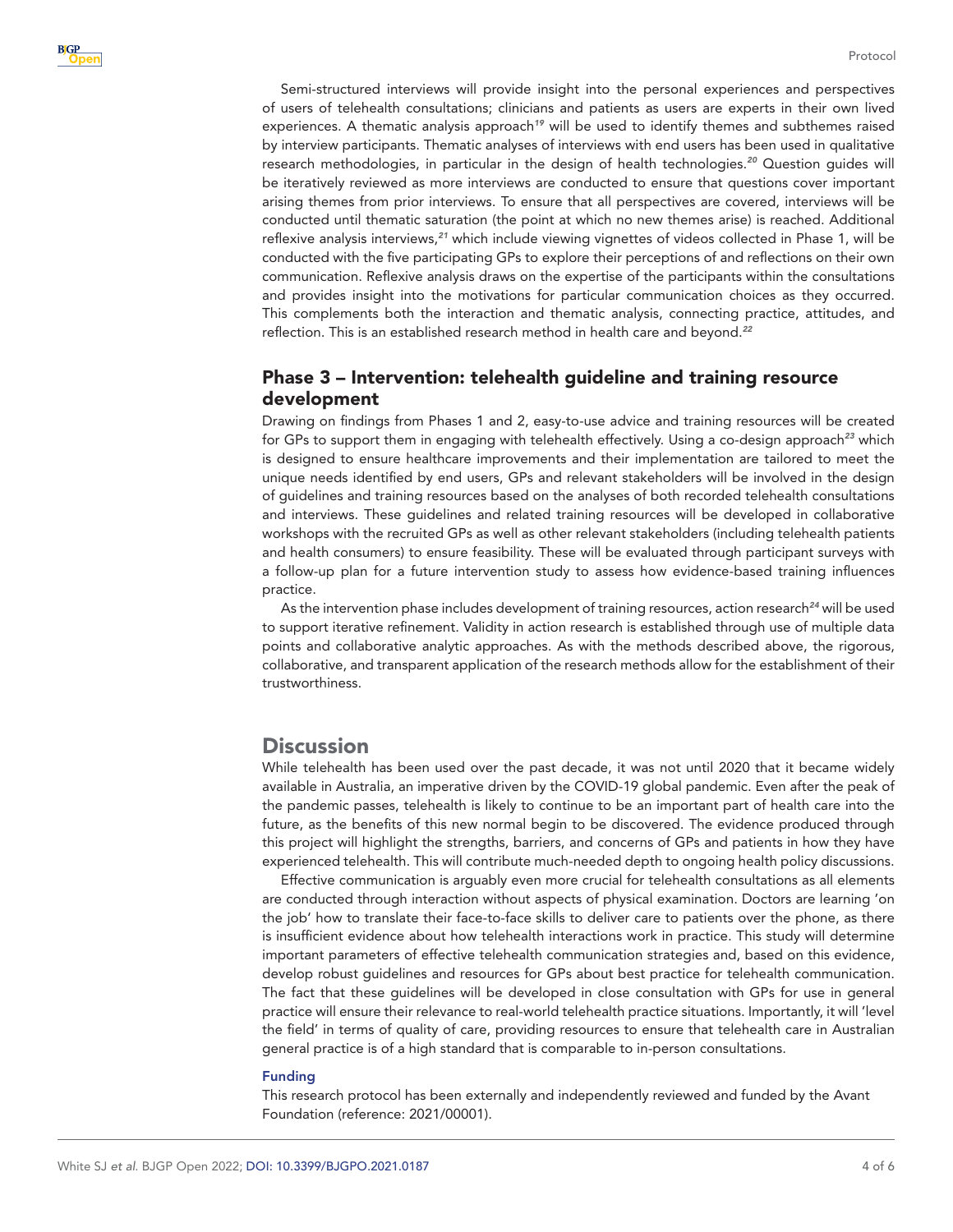Semi-structured interviews will provide insight into the personal experiences and perspectives of users of telehealth consultations; clinicians and patients as users are experts in their own lived experiences. A thematic analysis approach*[19](#page-5-2)* will be used to identify themes and subthemes raised by interview participants. Thematic analyses of interviews with end users has been used in qualitative research methodologies, in particular in the design of health technologies.*[20](#page-5-3)* Question guides will be iteratively reviewed as more interviews are conducted to ensure that questions cover important arising themes from prior interviews. To ensure that all perspectives are covered, interviews will be conducted until thematic saturation (the point at which no new themes arise) is reached. Additional reflexive analysis interviews,*[21](#page-5-4)* which include viewing vignettes of videos collected in Phase 1, will be conducted with the five participating GPs to explore their perceptions of and reflections on their own communication. Reflexive analysis draws on the expertise of the participants within the consultations and provides insight into the motivations for particular communication choices as they occurred. This complements both the interaction and thematic analysis, connecting practice, attitudes, and reflection. This is an established research method in health care and beyond.*[22](#page-5-5)*

## Phase 3 – Intervention: telehealth guideline and training resource development

Drawing on findings from Phases 1 and 2, easy-to-use advice and training resources will be created for GPs to support them in engaging with telehealth effectively. Using a co-design approach*[23](#page-5-6)* which is designed to ensure healthcare improvements and their implementation are tailored to meet the unique needs identified by end users, GPs and relevant stakeholders will be involved in the design of guidelines and training resources based on the analyses of both recorded telehealth consultations and interviews. These guidelines and related training resources will be developed in collaborative workshops with the recruited GPs as well as other relevant stakeholders (including telehealth patients and health consumers) to ensure feasibility. These will be evaluated through participant surveys with a follow-up plan for a future intervention study to assess how evidence-based training influences practice.

As the intervention phase includes development of training resources, action research*[24](#page-5-7)* will be used to support iterative refinement. Validity in action research is established through use of multiple data points and collaborative analytic approaches. As with the methods described above, the rigorous, collaborative, and transparent application of the research methods allow for the establishment of their trustworthiness.

## **Discussion**

While telehealth has been used over the past decade, it was not until 2020 that it became widely available in Australia, an imperative driven by the COVID-19 global pandemic. Even after the peak of the pandemic passes, telehealth is likely to continue to be an important part of health care into the future, as the benefits of this new normal begin to be discovered. The evidence produced through this project will highlight the strengths, barriers, and concerns of GPs and patients in how they have experienced telehealth. This will contribute much-needed depth to ongoing health policy discussions.

Effective communication is arguably even more crucial for telehealth consultations as all elements are conducted through interaction without aspects of physical examination. Doctors are learning 'on the job' how to translate their face-to-face skills to deliver care to patients over the phone, as there is insufficient evidence about how telehealth interactions work in practice. This study will determine important parameters of effective telehealth communication strategies and, based on this evidence, develop robust guidelines and resources for GPs about best practice for telehealth communication. The fact that these guidelines will be developed in close consultation with GPs for use in general practice will ensure their relevance to real-world telehealth practice situations. Importantly, it will 'level the field' in terms of quality of care, providing resources to ensure that telehealth care in Australian general practice is of a high standard that is comparable to in-person consultations.

#### Funding

This research protocol has been externally and independently reviewed and funded by the Avant Foundation (reference: 2021/00001).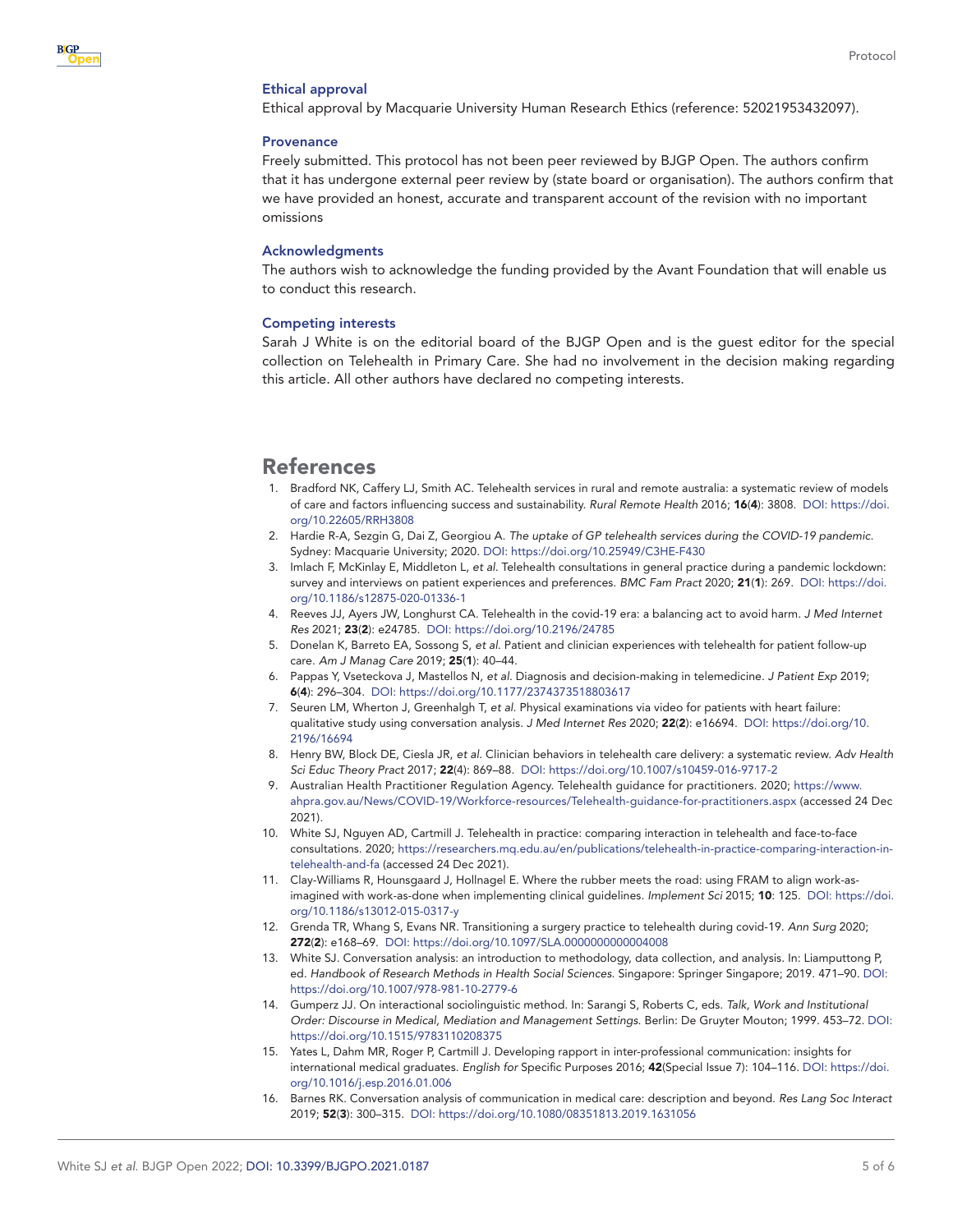#### Ethical approval

Ethical approval by Macquarie University Human Research Ethics (reference: 52021953432097).

#### **Provenance**

Freely submitted. This protocol has not been peer reviewed by BJGP Open. The authors confirm that it has undergone external peer review by (state board or organisation). The authors confirm that we have provided an honest, accurate and transparent account of the revision with no important omissions

#### Acknowledgments

The authors wish to acknowledge the funding provided by the Avant Foundation that will enable us to conduct this research.

#### <span id="page-4-0"></span>Competing interests

Sarah J White is on the editorial board of the BJGP Open and is the guest editor for the special collection on Telehealth in Primary Care. She had no involvement in the decision making regarding this article. All other authors have declared no competing interests.

#### References

- <span id="page-4-1"></span>1. Bradford NK, Caffery LJ, Smith AC. Telehealth services in rural and remote australia: a systematic review of models of care and factors influencing success and sustainability. *Rural Remote Health* 2016; 16(4): 3808. DOI: [https://doi.](https://doi.org/10.22605/RRH3808) [org/10.22605/RRH3808](https://doi.org/10.22605/RRH3808)
- <span id="page-4-2"></span>2. Hardie R-A, Sezgin G, Dai Z, Georgiou A. *The uptake of GP telehealth services during the COVID-19 pandemic*. Sydney: Macquarie University; 2020. DOI: <https://doi.org/10.25949/C3HE-F430>
- <span id="page-4-3"></span>3. Imlach F, McKinlay E, Middleton L, *et al*. Telehealth consultations in general practice during a pandemic lockdown: survey and interviews on patient experiences and preferences. *BMC Fam Pract* 2020; 21(1): 269. DOI: [https://doi.](https://doi.org/10.1186/s12875-020-01336-1) [org/10.1186/s12875-020-01336-1](https://doi.org/10.1186/s12875-020-01336-1)
- 4. Reeves JJ, Ayers JW, Longhurst CA. Telehealth in the covid-19 era: a balancing act to avoid harm. *J Med Internet Res* 2021; 23(2): e24785. DOI:<https://doi.org/10.2196/24785>
- <span id="page-4-4"></span>5. Donelan K, Barreto EA, Sossong S, *et al*. Patient and clinician experiences with telehealth for patient follow-up care. *Am J Manag Care* 2019; 25(1): 40–44.
- <span id="page-4-5"></span>6. Pappas Y, Vseteckova J, Mastellos N, *et al*. Diagnosis and decision-making in telemedicine. *J Patient Exp* 2019; 6(4): 296–304. DOI: <https://doi.org/10.1177/2374373518803617>
- <span id="page-4-6"></span>7. Seuren LM, Wherton J, Greenhalgh T, *et al*. Physical examinations via video for patients with heart failure: qualitative study using conversation analysis. *J Med Internet Res* 2020; 22(2): e16694. DOI: [https://doi.org/10.](https://doi.org/10.2196/16694) [2196/16694](https://doi.org/10.2196/16694)
- <span id="page-4-7"></span>8. Henry BW, Block DE, Ciesla JR, *et al*. Clinician behaviors in telehealth care delivery: a systematic review. *Adv Health Sci Educ Theory Pract* 2017; 22(4): 869–88. DOI: <https://doi.org/10.1007/s10459-016-9717-2>
- <span id="page-4-8"></span>9. Australian Health Practitioner Regulation Agency. Telehealth guidance for practitioners. 2020; [https://www.](https://www.ahpra.gov.au/News/COVID-19/Workforce-resources/Telehealth-guidance-for-practitioners.aspx) [ahpra.gov.au/News/COVID-19/Workforce-resources/Telehealth-guidance-for-practitioners.aspx](https://www.ahpra.gov.au/News/COVID-19/Workforce-resources/Telehealth-guidance-for-practitioners.aspx) (accessed 24 Dec 2021).
- <span id="page-4-9"></span>10. White SJ, Nguyen AD, Cartmill J. Telehealth in practice: comparing interaction in telehealth and face-to-face consultations. 2020; [https://researchers.mq.edu.au/en/publications/telehealth-in-practice-comparing-interaction-in](https://researchers.mq.edu.au/en/publications/telehealth-in-practice-comparing-interaction-in-telehealth-and-fa)[telehealth-and-fa](https://researchers.mq.edu.au/en/publications/telehealth-in-practice-comparing-interaction-in-telehealth-and-fa) (accessed 24 Dec 2021).
- <span id="page-4-10"></span>11. Clay-Williams R, Hounsgaard J, Hollnagel E. Where the rubber meets the road: using FRAM to align work-asimagined with work-as-done when implementing clinical guidelines. *Implement Sci* 2015; 10: 125. DOI: [https://doi.](https://doi.org/10.1186/s13012-015-0317-y) [org/10.1186/s13012-015-0317-y](https://doi.org/10.1186/s13012-015-0317-y)
- <span id="page-4-11"></span>12. Grenda TR, Whang S, Evans NR. Transitioning a surgery practice to telehealth during covid-19. *Ann Surg* 2020; 272(2): e168–69. DOI: <https://doi.org/10.1097/SLA.0000000000004008>
- <span id="page-4-12"></span>13. White SJ. Conversation analysis: an introduction to methodology, data collection, and analysis. In: Liamputtong P, ed. *Handbook of Research Methods in Health Social Sciences*. Singapore: Springer Singapore; 2019. 471–90. DOI: <https://doi.org/10.1007/978-981-10-2779-6>
- <span id="page-4-13"></span>14. Gumperz JJ. On interactional sociolinguistic method. In: Sarangi S, Roberts C, eds. *Talk, Work and Institutional Order: Discourse in Medical, Mediation and Management Settings*. Berlin: De Gruyter Mouton; 1999. 453–72. DOI: <https://doi.org/10.1515/9783110208375>
- <span id="page-4-14"></span>15. Yates L, Dahm MR, Roger P, Cartmill J. Developing rapport in inter-professional communication: insights for international medical graduates. *English for* Specific Purposes 2016; 42(Special Issue 7): 104–116. DOI: [https://doi.](https://doi.org/10.1016/j.esp.2016.01.006) [org/10.1016/j.esp.2016.01.006](https://doi.org/10.1016/j.esp.2016.01.006)
- 16. Barnes RK. Conversation analysis of communication in medical care: description and beyond. *Res Lang Soc Interact* 2019; 52(3): 300–315. DOI: <https://doi.org/10.1080/08351813.2019.1631056>